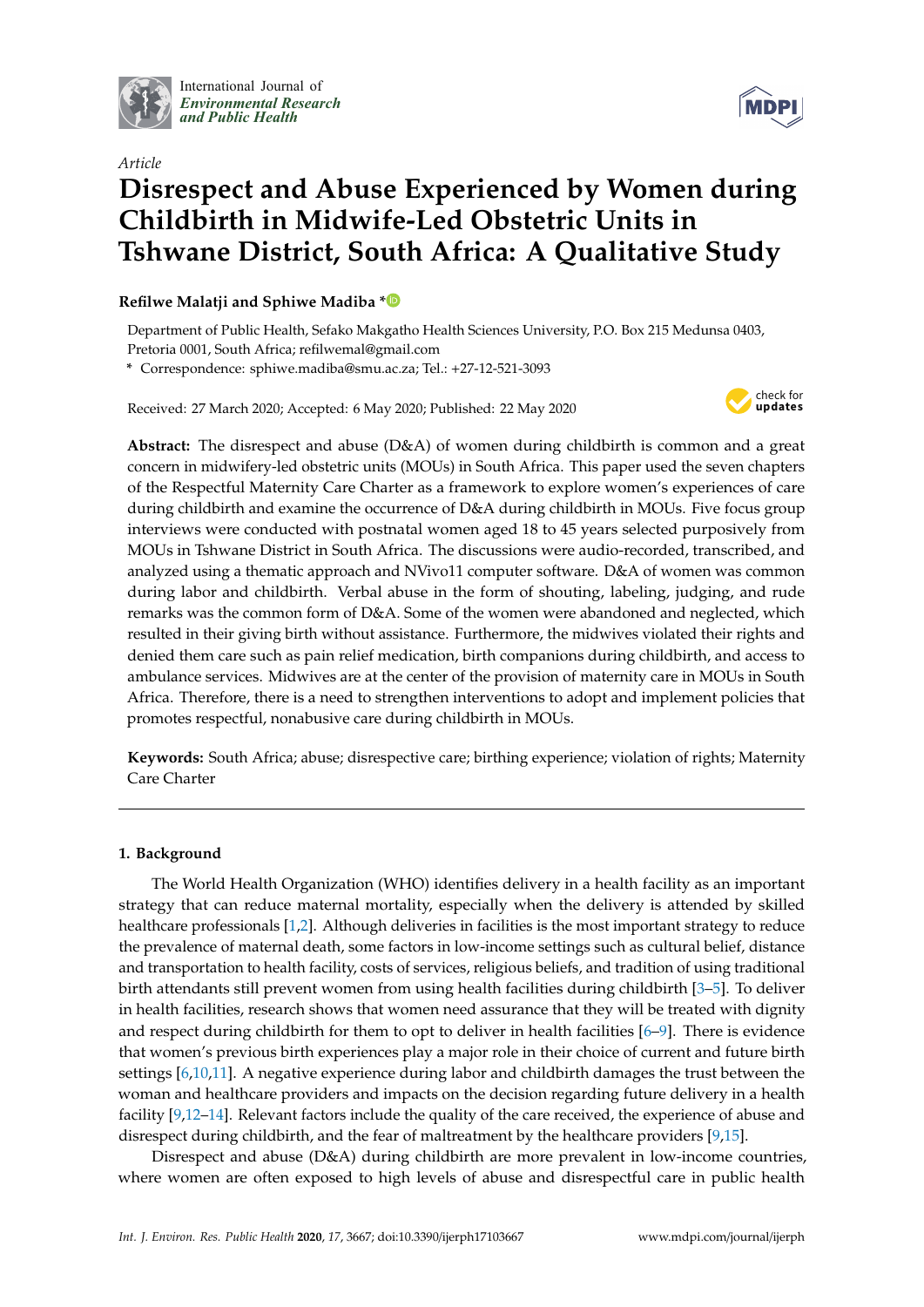

International Journal of *[Environmental Research](http://www.mdpi.com/journal/ijerph) and Public Health*



# *Article* **Disrespect and Abuse Experienced by Women during Childbirth in Midwife-Led Obstetric Units in Tshwane District, South Africa: A Qualitative Study**

# **Refilwe Malatji and Sphiwe Madiba [\\*](https://orcid.org/0000-0002-3735-1248)**

Department of Public Health, Sefako Makgatho Health Sciences University, P.O. Box 215 Medunsa 0403, Pretoria 0001, South Africa; refilwemal@gmail.com

**\*** Correspondence: sphiwe.madiba@smu.ac.za; Tel.: +27-12-521-3093

Received: 27 March 2020; Accepted: 6 May 2020; Published: 22 May 2020



**Abstract:** The disrespect and abuse (D&A) of women during childbirth is common and a great concern in midwifery-led obstetric units (MOUs) in South Africa. This paper used the seven chapters of the Respectful Maternity Care Charter as a framework to explore women's experiences of care during childbirth and examine the occurrence of D&A during childbirth in MOUs. Five focus group interviews were conducted with postnatal women aged 18 to 45 years selected purposively from MOUs in Tshwane District in South Africa. The discussions were audio-recorded, transcribed, and analyzed using a thematic approach and NVivo11 computer software. D&A of women was common during labor and childbirth. Verbal abuse in the form of shouting, labeling, judging, and rude remarks was the common form of D&A. Some of the women were abandoned and neglected, which resulted in their giving birth without assistance. Furthermore, the midwives violated their rights and denied them care such as pain relief medication, birth companions during childbirth, and access to ambulance services. Midwives are at the center of the provision of maternity care in MOUs in South Africa. Therefore, there is a need to strengthen interventions to adopt and implement policies that promotes respectful, nonabusive care during childbirth in MOUs.

**Keywords:** South Africa; abuse; disrespective care; birthing experience; violation of rights; Maternity Care Charter

# **1. Background**

The World Health Organization (WHO) identifies delivery in a health facility as an important strategy that can reduce maternal mortality, especially when the delivery is attended by skilled healthcare professionals [\[1,](#page-10-0)[2\]](#page-10-1). Although deliveries in facilities is the most important strategy to reduce the prevalence of maternal death, some factors in low-income settings such as cultural belief, distance and transportation to health facility, costs of services, religious beliefs, and tradition of using traditional birth attendants still prevent women from using health facilities during childbirth [\[3](#page-10-2)[–5\]](#page-10-3). To deliver in health facilities, research shows that women need assurance that they will be treated with dignity and respect during childbirth for them to opt to deliver in health facilities  $[6-9]$  $[6-9]$ . There is evidence that women's previous birth experiences play a major role in their choice of current and future birth settings [\[6](#page-10-4)[,10](#page-11-1)[,11\]](#page-11-2). A negative experience during labor and childbirth damages the trust between the woman and healthcare providers and impacts on the decision regarding future delivery in a health facility [\[9](#page-11-0)[,12](#page-11-3)[–14\]](#page-11-4). Relevant factors include the quality of the care received, the experience of abuse and disrespect during childbirth, and the fear of maltreatment by the healthcare providers [\[9,](#page-11-0)[15\]](#page-11-5).

Disrespect and abuse (D&A) during childbirth are more prevalent in low-income countries, where women are often exposed to high levels of abuse and disrespectful care in public health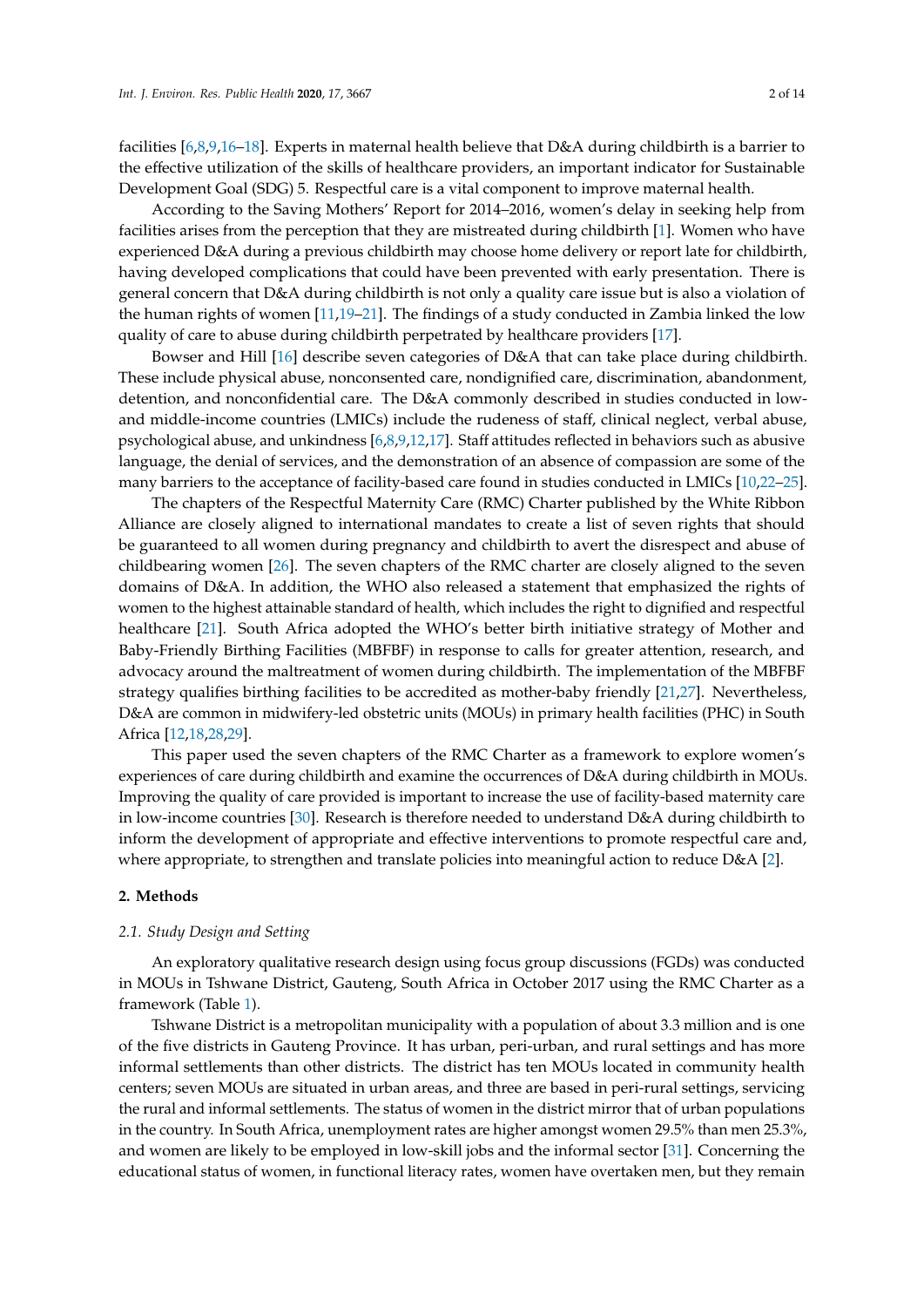facilities [\[6](#page-10-4)[,8](#page-11-6)[,9](#page-11-0)[,16](#page-11-7)[–18\]](#page-11-8). Experts in maternal health believe that D&A during childbirth is a barrier to the effective utilization of the skills of healthcare providers, an important indicator for Sustainable Development Goal (SDG) 5. Respectful care is a vital component to improve maternal health.

According to the Saving Mothers' Report for 2014–2016, women's delay in seeking help from facilities arises from the perception that they are mistreated during childbirth [\[1\]](#page-10-0). Women who have experienced D&A during a previous childbirth may choose home delivery or report late for childbirth, having developed complications that could have been prevented with early presentation. There is general concern that D&A during childbirth is not only a quality care issue but is also a violation of the human rights of women [\[11,](#page-11-2)[19–](#page-11-9)[21\]](#page-11-10). The findings of a study conducted in Zambia linked the low quality of care to abuse during childbirth perpetrated by healthcare providers [\[17\]](#page-11-11).

Bowser and Hill [\[16\]](#page-11-7) describe seven categories of D&A that can take place during childbirth. These include physical abuse, nonconsented care, nondignified care, discrimination, abandonment, detention, and nonconfidential care. The D&A commonly described in studies conducted in lowand middle-income countries (LMICs) include the rudeness of staff, clinical neglect, verbal abuse, psychological abuse, and unkindness [\[6](#page-10-4)[,8,](#page-11-6)[9,](#page-11-0)[12,](#page-11-3)[17\]](#page-11-11). Staff attitudes reflected in behaviors such as abusive language, the denial of services, and the demonstration of an absence of compassion are some of the many barriers to the acceptance of facility-based care found in studies conducted in LMICs [\[10](#page-11-1)[,22–](#page-11-12)[25\]](#page-11-13).

The chapters of the Respectful Maternity Care (RMC) Charter published by the White Ribbon Alliance are closely aligned to international mandates to create a list of seven rights that should be guaranteed to all women during pregnancy and childbirth to avert the disrespect and abuse of childbearing women [\[26\]](#page-11-14). The seven chapters of the RMC charter are closely aligned to the seven domains of D&A. In addition, the WHO also released a statement that emphasized the rights of women to the highest attainable standard of health, which includes the right to dignified and respectful healthcare [\[21\]](#page-11-10). South Africa adopted the WHO's better birth initiative strategy of Mother and Baby-Friendly Birthing Facilities (MBFBF) in response to calls for greater attention, research, and advocacy around the maltreatment of women during childbirth. The implementation of the MBFBF strategy qualifies birthing facilities to be accredited as mother-baby friendly [\[21](#page-11-10)[,27\]](#page-11-15). Nevertheless, D&A are common in midwifery-led obstetric units (MOUs) in primary health facilities (PHC) in South Africa [\[12,](#page-11-3)[18,](#page-11-8)[28,](#page-11-16)[29\]](#page-12-0).

This paper used the seven chapters of the RMC Charter as a framework to explore women's experiences of care during childbirth and examine the occurrences of D&A during childbirth in MOUs. Improving the quality of care provided is important to increase the use of facility-based maternity care in low-income countries [\[30\]](#page-12-1). Research is therefore needed to understand D&A during childbirth to inform the development of appropriate and effective interventions to promote respectful care and, where appropriate, to strengthen and translate policies into meaningful action to reduce D&A [\[2\]](#page-10-1).

## **2. Methods**

#### *2.1. Study Design and Setting*

An exploratory qualitative research design using focus group discussions (FGDs) was conducted in MOUs in Tshwane District, Gauteng, South Africa in October 2017 using the RMC Charter as a framework (Table [1\)](#page-2-0).

Tshwane District is a metropolitan municipality with a population of about 3.3 million and is one of the five districts in Gauteng Province. It has urban, peri-urban, and rural settings and has more informal settlements than other districts. The district has ten MOUs located in community health centers; seven MOUs are situated in urban areas, and three are based in peri-rural settings, servicing the rural and informal settlements. The status of women in the district mirror that of urban populations in the country. In South Africa, unemployment rates are higher amongst women 29.5% than men 25.3%, and women are likely to be employed in low-skill jobs and the informal sector [\[31\]](#page-12-2). Concerning the educational status of women, in functional literacy rates, women have overtaken men, but they remain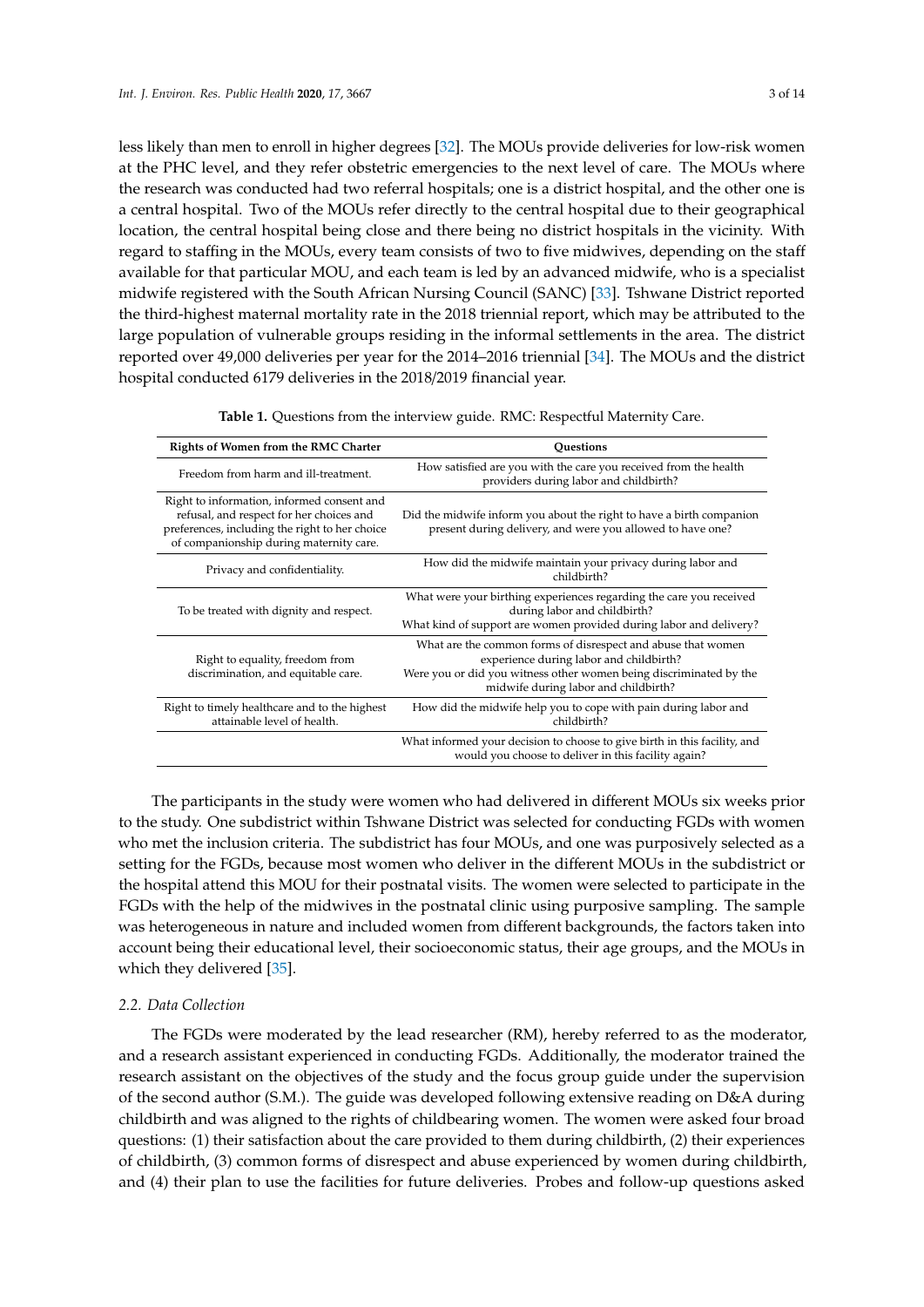less likely than men to enroll in higher degrees [\[32\]](#page-12-3). The MOUs provide deliveries for low-risk women at the PHC level, and they refer obstetric emergencies to the next level of care. The MOUs where the research was conducted had two referral hospitals; one is a district hospital, and the other one is a central hospital. Two of the MOUs refer directly to the central hospital due to their geographical location, the central hospital being close and there being no district hospitals in the vicinity. With regard to staffing in the MOUs, every team consists of two to five midwives, depending on the staff available for that particular MOU, and each team is led by an advanced midwife, who is a specialist midwife registered with the South African Nursing Council (SANC) [\[33\]](#page-12-4). Tshwane District reported the third-highest maternal mortality rate in the 2018 triennial report, which may be attributed to the large population of vulnerable groups residing in the informal settlements in the area. The district reported over 49,000 deliveries per year for the 2014–2016 triennial [\[34\]](#page-12-5). The MOUs and the district hospital conducted 6179 deliveries in the 2018/2019 financial year.

| Table 1. Questions from the interview guide. RMC: Respectful Maternity Care. |  |  |
|------------------------------------------------------------------------------|--|--|
|------------------------------------------------------------------------------|--|--|

<span id="page-2-0"></span>

| Rights of Women from the RMC Charter                                                                                                                                                | Ouestions                                                                                                                                                                                                             |
|-------------------------------------------------------------------------------------------------------------------------------------------------------------------------------------|-----------------------------------------------------------------------------------------------------------------------------------------------------------------------------------------------------------------------|
| Freedom from harm and ill-treatment.                                                                                                                                                | How satisfied are you with the care you received from the health<br>providers during labor and childbirth?                                                                                                            |
| Right to information, informed consent and<br>refusal, and respect for her choices and<br>preferences, including the right to her choice<br>of companionship during maternity care. | Did the midwife inform you about the right to have a birth companion<br>present during delivery, and were you allowed to have one?                                                                                    |
| Privacy and confidentiality.                                                                                                                                                        | How did the midwife maintain your privacy during labor and<br>childbirth?                                                                                                                                             |
| To be treated with dignity and respect.                                                                                                                                             | What were your birthing experiences regarding the care you received<br>during labor and childbirth?<br>What kind of support are women provided during labor and delivery?                                             |
| Right to equality, freedom from<br>discrimination, and equitable care.                                                                                                              | What are the common forms of disrespect and abuse that women<br>experience during labor and childbirth?<br>Were you or did you witness other women being discriminated by the<br>midwife during labor and childbirth? |
| Right to timely healthcare and to the highest<br>attainable level of health.                                                                                                        | How did the midwife help you to cope with pain during labor and<br>childbirth?                                                                                                                                        |
|                                                                                                                                                                                     | What informed your decision to choose to give birth in this facility, and<br>would you choose to deliver in this facility again?                                                                                      |

The participants in the study were women who had delivered in different MOUs six weeks prior to the study. One subdistrict within Tshwane District was selected for conducting FGDs with women who met the inclusion criteria. The subdistrict has four MOUs, and one was purposively selected as a setting for the FGDs, because most women who deliver in the different MOUs in the subdistrict or the hospital attend this MOU for their postnatal visits. The women were selected to participate in the FGDs with the help of the midwives in the postnatal clinic using purposive sampling. The sample was heterogeneous in nature and included women from different backgrounds, the factors taken into account being their educational level, their socioeconomic status, their age groups, and the MOUs in which they delivered [\[35\]](#page-12-6).

#### *2.2. Data Collection*

The FGDs were moderated by the lead researcher (RM), hereby referred to as the moderator, and a research assistant experienced in conducting FGDs. Additionally, the moderator trained the research assistant on the objectives of the study and the focus group guide under the supervision of the second author (S.M.). The guide was developed following extensive reading on D&A during childbirth and was aligned to the rights of childbearing women. The women were asked four broad questions: (1) their satisfaction about the care provided to them during childbirth, (2) their experiences of childbirth, (3) common forms of disrespect and abuse experienced by women during childbirth, and (4) their plan to use the facilities for future deliveries. Probes and follow-up questions asked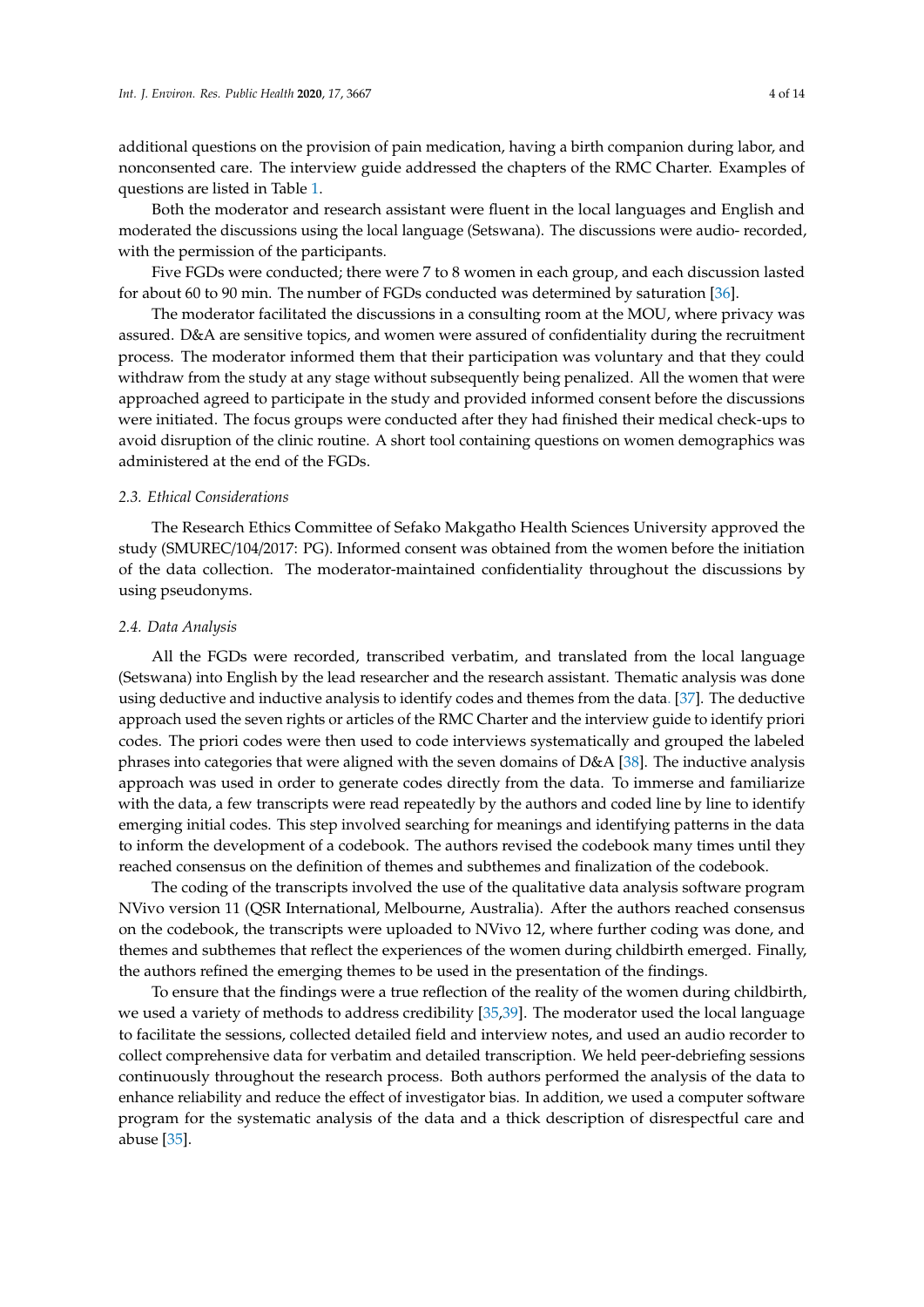additional questions on the provision of pain medication, having a birth companion during labor, and nonconsented care. The interview guide addressed the chapters of the RMC Charter. Examples of questions are listed in Table [1.](#page-2-0)

Both the moderator and research assistant were fluent in the local languages and English and moderated the discussions using the local language (Setswana). The discussions were audio- recorded, with the permission of the participants.

Five FGDs were conducted; there were 7 to 8 women in each group, and each discussion lasted for about 60 to 90 min. The number of FGDs conducted was determined by saturation [\[36\]](#page-12-7).

The moderator facilitated the discussions in a consulting room at the MOU, where privacy was assured. D&A are sensitive topics, and women were assured of confidentiality during the recruitment process. The moderator informed them that their participation was voluntary and that they could withdraw from the study at any stage without subsequently being penalized. All the women that were approached agreed to participate in the study and provided informed consent before the discussions were initiated. The focus groups were conducted after they had finished their medical check-ups to avoid disruption of the clinic routine. A short tool containing questions on women demographics was administered at the end of the FGDs.

#### *2.3. Ethical Considerations*

The Research Ethics Committee of Sefako Makgatho Health Sciences University approved the study (SMUREC/104/2017: PG). Informed consent was obtained from the women before the initiation of the data collection. The moderator-maintained confidentiality throughout the discussions by using pseudonyms.

#### *2.4. Data Analysis*

All the FGDs were recorded, transcribed verbatim, and translated from the local language (Setswana) into English by the lead researcher and the research assistant. Thematic analysis was done using deductive and inductive analysis to identify codes and themes from the data. [\[37\]](#page-12-8). The deductive approach used the seven rights or articles of the RMC Charter and the interview guide to identify priori codes. The priori codes were then used to code interviews systematically and grouped the labeled phrases into categories that were aligned with the seven domains of D&A [\[38\]](#page-12-9). The inductive analysis approach was used in order to generate codes directly from the data. To immerse and familiarize with the data, a few transcripts were read repeatedly by the authors and coded line by line to identify emerging initial codes. This step involved searching for meanings and identifying patterns in the data to inform the development of a codebook. The authors revised the codebook many times until they reached consensus on the definition of themes and subthemes and finalization of the codebook.

The coding of the transcripts involved the use of the qualitative data analysis software program NVivo version 11 (QSR International, Melbourne, Australia). After the authors reached consensus on the codebook, the transcripts were uploaded to NVivo 12, where further coding was done, and themes and subthemes that reflect the experiences of the women during childbirth emerged. Finally, the authors refined the emerging themes to be used in the presentation of the findings.

To ensure that the findings were a true reflection of the reality of the women during childbirth, we used a variety of methods to address credibility [\[35](#page-12-6)[,39\]](#page-12-10). The moderator used the local language to facilitate the sessions, collected detailed field and interview notes, and used an audio recorder to collect comprehensive data for verbatim and detailed transcription. We held peer-debriefing sessions continuously throughout the research process. Both authors performed the analysis of the data to enhance reliability and reduce the effect of investigator bias. In addition, we used a computer software program for the systematic analysis of the data and a thick description of disrespectful care and abuse [\[35\]](#page-12-6).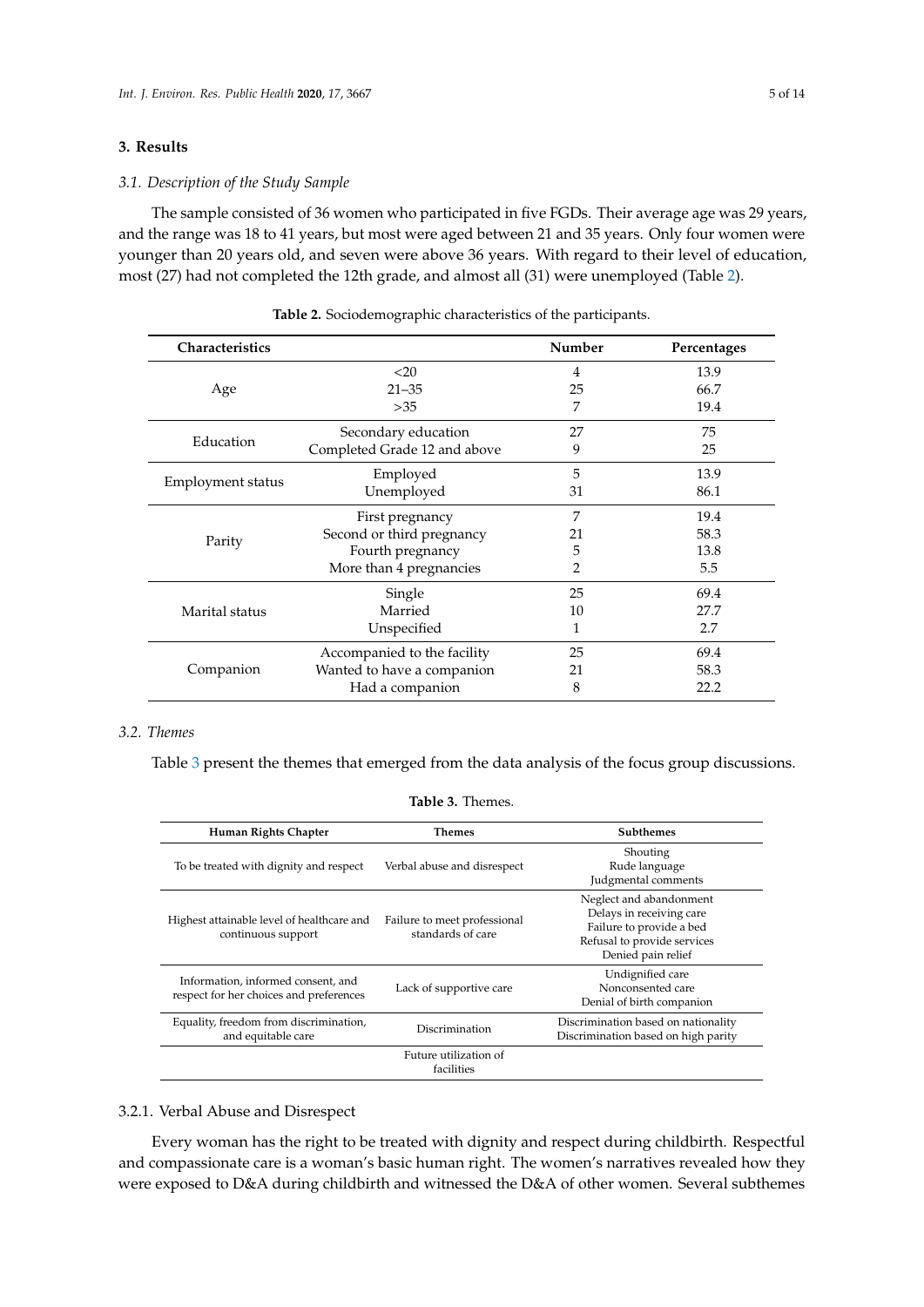# **3. Results**

## *3.1. Description of the Study Sample*

The sample consisted of 36 women who participated in five FGDs. Their average age was 29 years, and the range was 18 to 41 years, but most were aged between 21 and 35 years. Only four women were younger than 20 years old, and seven were above 36 years. With regard to their level of education, most (27) had not completed the 12th grade, and almost all (31) were unemployed (Table [2\)](#page-4-0).

<span id="page-4-0"></span>

| Characteristics   |                              | Number | Percentages |
|-------------------|------------------------------|--------|-------------|
|                   | $<$ 20                       | 4      | 13.9        |
| Age               | $21 - 35$                    | 25     | 66.7        |
|                   | >35                          | 7      | 19.4        |
| Education         | Secondary education          | 27     | 75          |
|                   | Completed Grade 12 and above | 9      | 25          |
| Employment status | Employed                     | 5      | 13.9        |
|                   | Unemployed                   | 31     | 86.1        |
| Parity            | First pregnancy              | 7      | 19.4        |
|                   | Second or third pregnancy    | 21     | 58.3        |
|                   | Fourth pregnancy             | 5      | 13.8        |
|                   | More than 4 pregnancies      | 2      | 5.5         |
|                   | Single                       | 25     | 69.4        |
| Marital status    | Married                      | 10     | 27.7        |
|                   | Unspecified                  | 1      | 2.7         |
| Companion         | Accompanied to the facility  | 25     | 69.4        |
|                   | Wanted to have a companion   | 21     | 58.3        |
|                   | Had a companion              | 8      | 22.2        |

**Table 2.** Sociodemographic characteristics of the participants.

# *3.2. Themes*

<span id="page-4-1"></span>Table [3](#page-4-1) present the themes that emerged from the data analysis of the focus group discussions.

| Human Rights Chapter                                                          | <b>Themes</b>                                     | <b>Subthemes</b>                                                                                                                     |
|-------------------------------------------------------------------------------|---------------------------------------------------|--------------------------------------------------------------------------------------------------------------------------------------|
| To be treated with dignity and respect                                        | Verbal abuse and disrespect                       | Shouting<br>Rude language<br>Judgmental comments                                                                                     |
| Highest attainable level of healthcare and<br>continuous support              | Failure to meet professional<br>standards of care | Neglect and abandonment<br>Delays in receiving care<br>Failure to provide a bed<br>Refusal to provide services<br>Denied pain relief |
| Information, informed consent, and<br>respect for her choices and preferences | Lack of supportive care                           | Undignified care<br>Nonconsented care<br>Denial of birth companion                                                                   |
| Equality, freedom from discrimination,<br>and equitable care                  | Discrimination                                    | Discrimination based on nationality<br>Discrimination based on high parity                                                           |
|                                                                               | Future utilization of<br>facilities               |                                                                                                                                      |
|                                                                               |                                                   |                                                                                                                                      |

# **Table 3.** Themes.

# 3.2.1. Verbal Abuse and Disrespect

Every woman has the right to be treated with dignity and respect during childbirth. Respectful and compassionate care is a woman's basic human right. The women's narratives revealed how they were exposed to D&A during childbirth and witnessed the D&A of other women. Several subthemes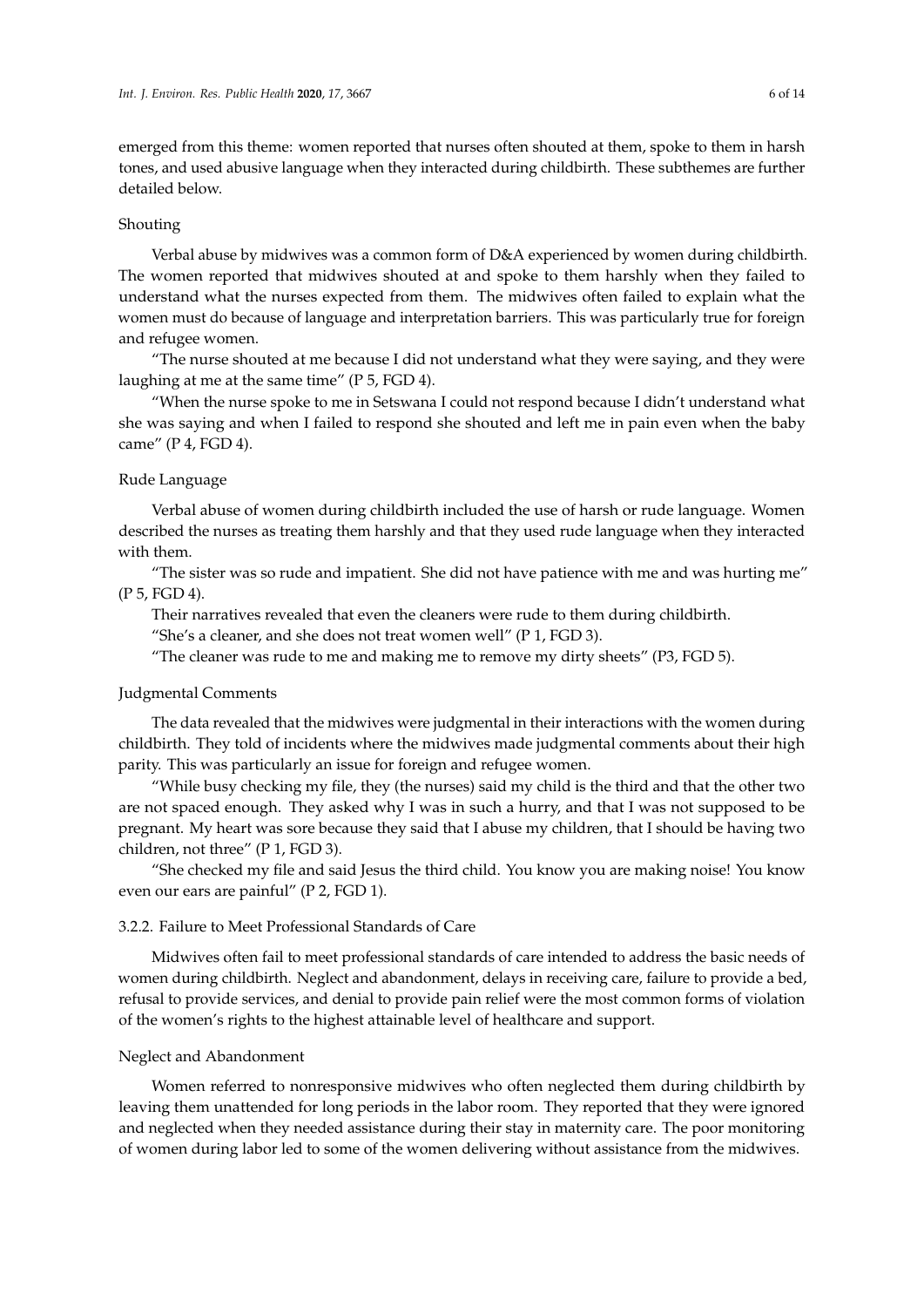emerged from this theme: women reported that nurses often shouted at them, spoke to them in harsh tones, and used abusive language when they interacted during childbirth. These subthemes are further detailed below.

## Shouting

Verbal abuse by midwives was a common form of D&A experienced by women during childbirth. The women reported that midwives shouted at and spoke to them harshly when they failed to understand what the nurses expected from them. The midwives often failed to explain what the women must do because of language and interpretation barriers. This was particularly true for foreign and refugee women.

"The nurse shouted at me because I did not understand what they were saying, and they were laughing at me at the same time" (P 5, FGD 4).

"When the nurse spoke to me in Setswana I could not respond because I didn't understand what she was saying and when I failed to respond she shouted and left me in pain even when the baby came" (P 4, FGD 4).

## Rude Language

Verbal abuse of women during childbirth included the use of harsh or rude language. Women described the nurses as treating them harshly and that they used rude language when they interacted with them.

"The sister was so rude and impatient. She did not have patience with me and was hurting me" (P 5, FGD 4).

Their narratives revealed that even the cleaners were rude to them during childbirth.

"She's a cleaner, and she does not treat women well" (P 1, FGD 3).

"The cleaner was rude to me and making me to remove my dirty sheets" (P3, FGD 5).

# Judgmental Comments

The data revealed that the midwives were judgmental in their interactions with the women during childbirth. They told of incidents where the midwives made judgmental comments about their high parity. This was particularly an issue for foreign and refugee women.

"While busy checking my file, they (the nurses) said my child is the third and that the other two are not spaced enough. They asked why I was in such a hurry, and that I was not supposed to be pregnant. My heart was sore because they said that I abuse my children, that I should be having two children, not three" (P 1, FGD 3).

"She checked my file and said Jesus the third child. You know you are making noise! You know even our ears are painful" (P 2, FGD 1).

## 3.2.2. Failure to Meet Professional Standards of Care

Midwives often fail to meet professional standards of care intended to address the basic needs of women during childbirth. Neglect and abandonment, delays in receiving care, failure to provide a bed, refusal to provide services, and denial to provide pain relief were the most common forms of violation of the women's rights to the highest attainable level of healthcare and support.

#### Neglect and Abandonment

Women referred to nonresponsive midwives who often neglected them during childbirth by leaving them unattended for long periods in the labor room. They reported that they were ignored and neglected when they needed assistance during their stay in maternity care. The poor monitoring of women during labor led to some of the women delivering without assistance from the midwives.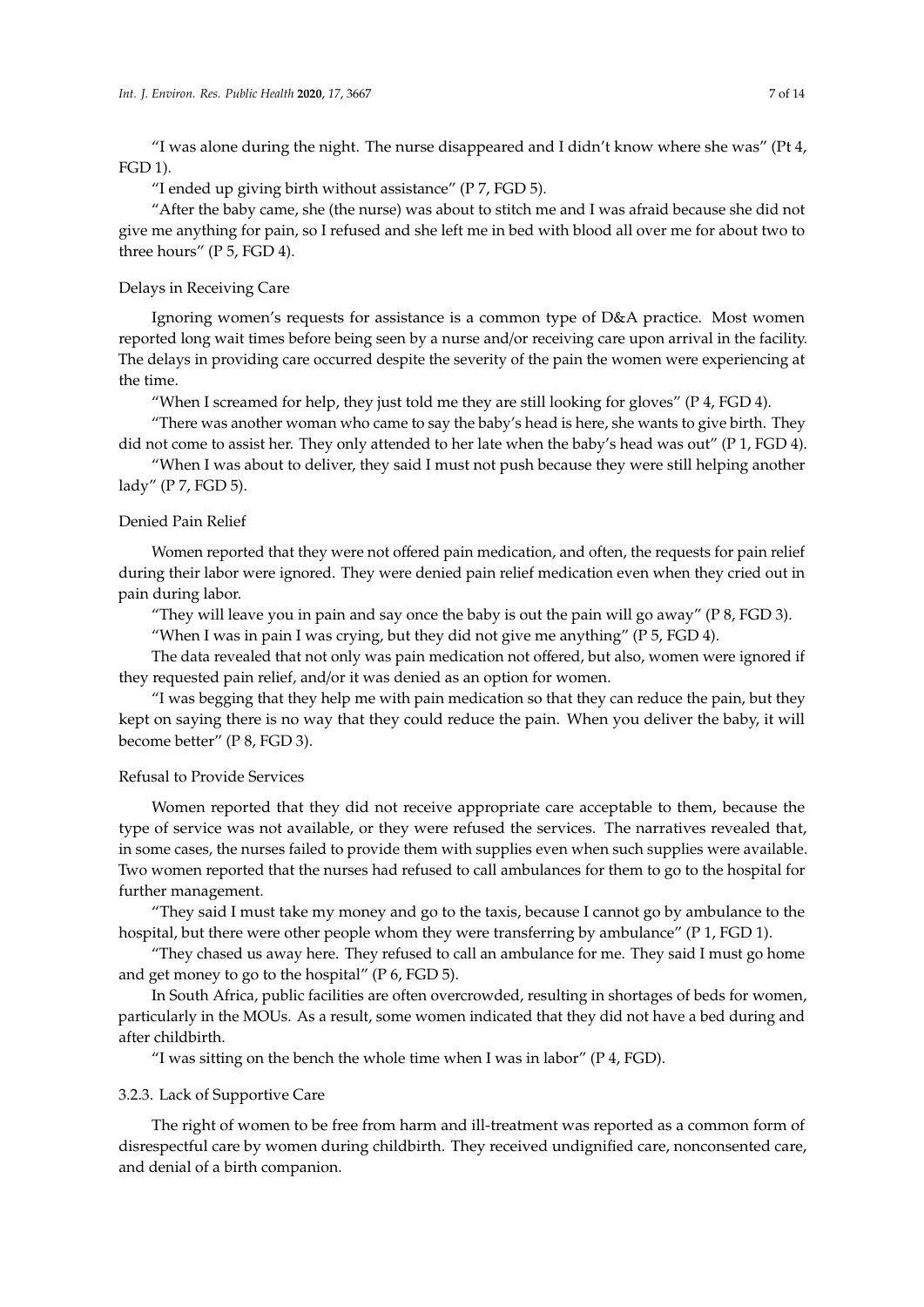"I was alone during the night. The nurse disappeared and I didn't know where she was" (Pt  $4$ , FGD 1).

"I ended up giving birth without assistance" (P 7, FGD 5).

"After the baby came, she (the nurse) was about to stitch me and I was afraid because she did not give me anything for pain, so I refused and she left me in bed with blood all over me for about two to three hours" (P 5, FGD 4).

# Delays in Receiving Care

Ignoring women's requests for assistance is a common type of D&A practice. Most women reported long wait times before being seen by a nurse and/or receiving care upon arrival in the facility. The delays in providing care occurred despite the severity of the pain the women were experiencing at the time.

"When I screamed for help, they just told me they are still looking for gloves" (P 4, FGD 4).

"There was another woman who came to say the baby's head is here, she wants to give birth. They did not come to assist her. They only attended to her late when the baby's head was out" (P 1, FGD 4).

"When I was about to deliver, they said I must not push because they were still helping another lady" (P 7, FGD 5).

# Denied Pain Relief

Women reported that they were not offered pain medication, and often, the requests for pain relief during their labor were ignored. They were denied pain relief medication even when they cried out in pain during labor.

"They will leave you in pain and say once the baby is out the pain will go away" ( $P \text{ 8, FGD 3}$ ).

"When I was in pain I was crying, but they did not give me anything" (P  $5$ , FGD 4).

The data revealed that not only was pain medication not offered, but also, women were ignored if they requested pain relief, and/or it was denied as an option for women.

"I was begging that they help me with pain medication so that they can reduce the pain, but they kept on saying there is no way that they could reduce the pain. When you deliver the baby, it will become better" (P 8, FGD 3).

# Refusal to Provide Services

Women reported that they did not receive appropriate care acceptable to them, because the type of service was not available, or they were refused the services. The narratives revealed that, in some cases, the nurses failed to provide them with supplies even when such supplies were available. Two women reported that the nurses had refused to call ambulances for them to go to the hospital for further management.

"They said I must take my money and go to the taxis, because I cannot go by ambulance to the hospital, but there were other people whom they were transferring by ambulance" (P 1, FGD 1).

"They chased us away here. They refused to call an ambulance for me. They said I must go home and get money to go to the hospital" (P 6, FGD 5).

In South Africa, public facilities are often overcrowded, resulting in shortages of beds for women, particularly in the MOUs. As a result, some women indicated that they did not have a bed during and after childbirth.

"I was sitting on the bench the whole time when I was in labor" (P 4, FGD).

# 3.2.3. Lack of Supportive Care

The right of women to be free from harm and ill-treatment was reported as a common form of disrespectful care by women during childbirth. They received undignified care, nonconsented care, and denial of a birth companion.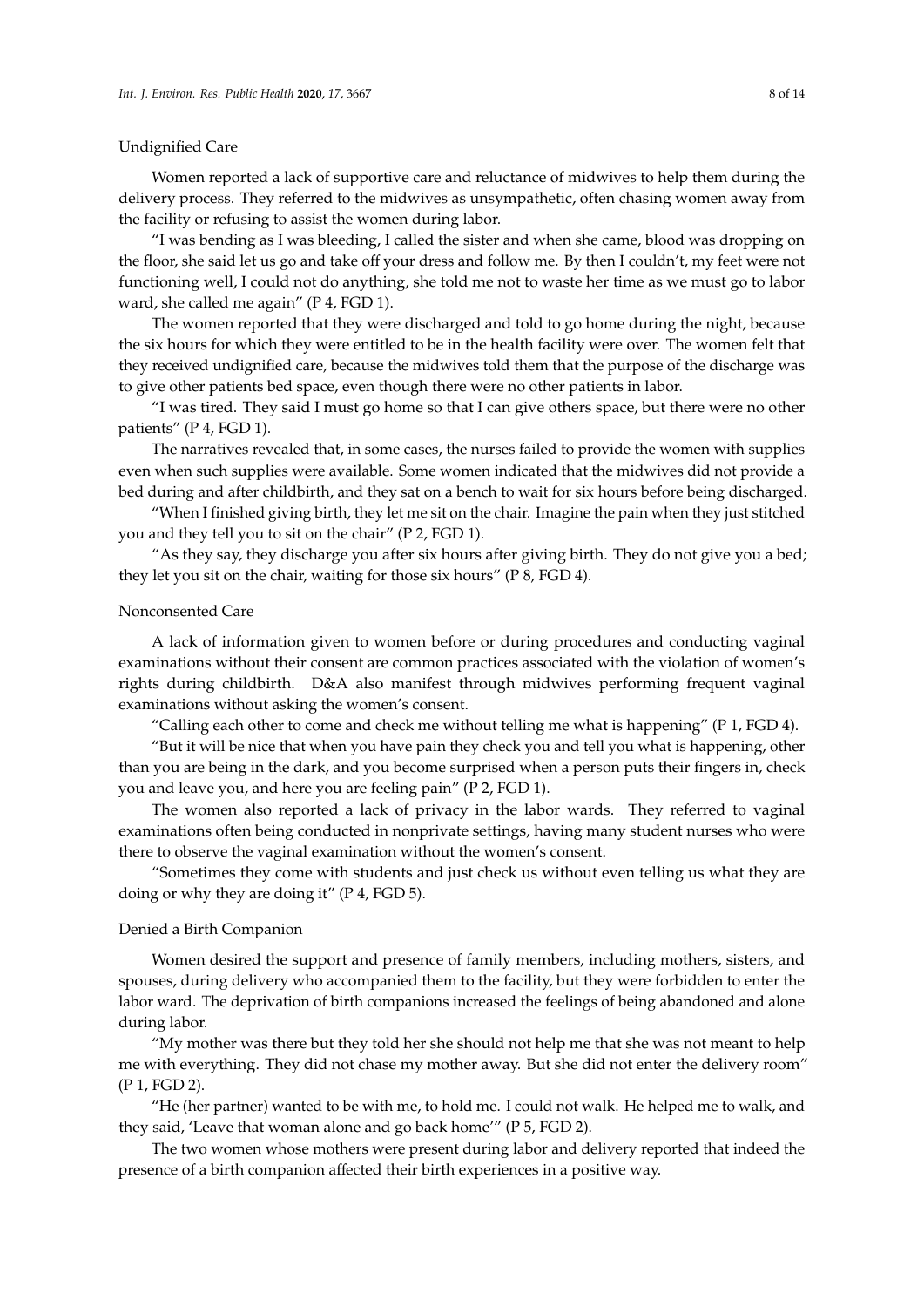## Undignified Care

Women reported a lack of supportive care and reluctance of midwives to help them during the delivery process. They referred to the midwives as unsympathetic, often chasing women away from the facility or refusing to assist the women during labor.

"I was bending as I was bleeding, I called the sister and when she came, blood was dropping on the floor, she said let us go and take off your dress and follow me. By then I couldn't, my feet were not functioning well, I could not do anything, she told me not to waste her time as we must go to labor ward, she called me again" (P 4, FGD 1).

The women reported that they were discharged and told to go home during the night, because the six hours for which they were entitled to be in the health facility were over. The women felt that they received undignified care, because the midwives told them that the purpose of the discharge was to give other patients bed space, even though there were no other patients in labor.

"I was tired. They said I must go home so that I can give others space, but there were no other patients" (P 4, FGD 1).

The narratives revealed that, in some cases, the nurses failed to provide the women with supplies even when such supplies were available. Some women indicated that the midwives did not provide a bed during and after childbirth, and they sat on a bench to wait for six hours before being discharged.

"When I finished giving birth, they let me sit on the chair. Imagine the pain when they just stitched you and they tell you to sit on the chair" (P 2, FGD 1).

"As they say, they discharge you after six hours after giving birth. They do not give you a bed; they let you sit on the chair, waiting for those six hours" (P 8, FGD 4).

## Nonconsented Care

A lack of information given to women before or during procedures and conducting vaginal examinations without their consent are common practices associated with the violation of women's rights during childbirth. D&A also manifest through midwives performing frequent vaginal examinations without asking the women's consent.

"Calling each other to come and check me without telling me what is happening" ( $P$  1,  $FGD$  4).

"But it will be nice that when you have pain they check you and tell you what is happening, other than you are being in the dark, and you become surprised when a person puts their fingers in, check you and leave you, and here you are feeling pain" (P 2, FGD 1).

The women also reported a lack of privacy in the labor wards. They referred to vaginal examinations often being conducted in nonprivate settings, having many student nurses who were there to observe the vaginal examination without the women's consent.

"Sometimes they come with students and just check us without even telling us what they are doing or why they are doing it" (P 4, FGD 5).

# Denied a Birth Companion

Women desired the support and presence of family members, including mothers, sisters, and spouses, during delivery who accompanied them to the facility, but they were forbidden to enter the labor ward. The deprivation of birth companions increased the feelings of being abandoned and alone during labor.

"My mother was there but they told her she should not help me that she was not meant to help me with everything. They did not chase my mother away. But she did not enter the delivery room" (P 1, FGD 2).

"He (her partner) wanted to be with me, to hold me. I could not walk. He helped me to walk, and they said, 'Leave that woman alone and go back home'" (P 5, FGD 2).

The two women whose mothers were present during labor and delivery reported that indeed the presence of a birth companion affected their birth experiences in a positive way.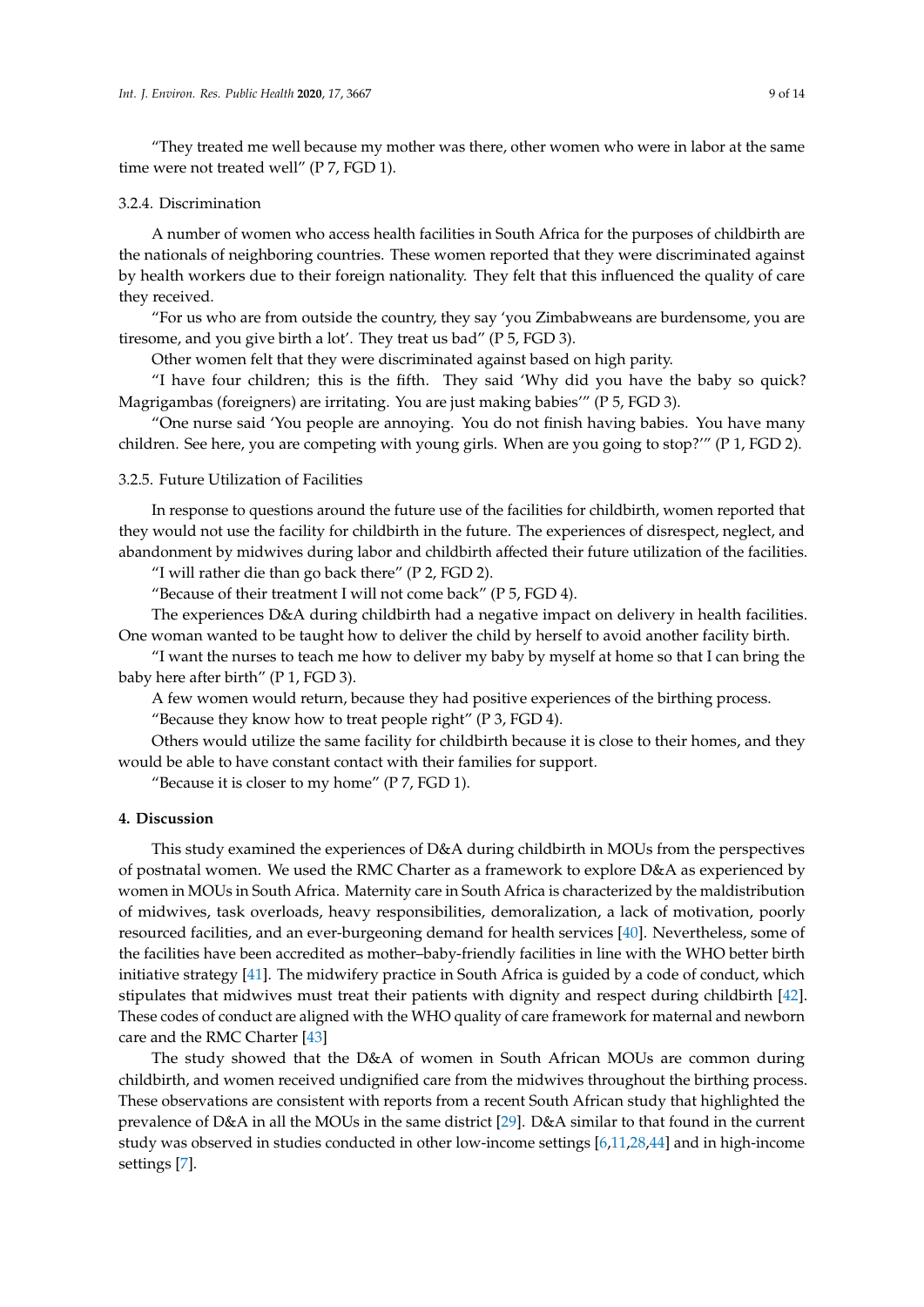"They treated me well because my mother was there, other women who were in labor at the same time were not treated well" (P 7, FGD 1).

## 3.2.4. Discrimination

A number of women who access health facilities in South Africa for the purposes of childbirth are the nationals of neighboring countries. These women reported that they were discriminated against by health workers due to their foreign nationality. They felt that this influenced the quality of care they received.

"For us who are from outside the country, they say 'you Zimbabweans are burdensome, you are tiresome, and you give birth a lot'. They treat us bad" (P 5, FGD 3).

Other women felt that they were discriminated against based on high parity.

"I have four children; this is the fifth. They said 'Why did you have the baby so quick? Magrigambas (foreigners) are irritating. You are just making babies'" (P 5, FGD 3).

"One nurse said 'You people are annoying. You do not finish having babies. You have many children. See here, you are competing with young girls. When are you going to stop?'" (P 1, FGD 2).

3.2.5. Future Utilization of Facilities

In response to questions around the future use of the facilities for childbirth, women reported that they would not use the facility for childbirth in the future. The experiences of disrespect, neglect, and abandonment by midwives during labor and childbirth affected their future utilization of the facilities.

"I will rather die than go back there" (P 2, FGD 2).

"Because of their treatment I will not come back" ( $P$  5, FGD 4).

The experiences D&A during childbirth had a negative impact on delivery in health facilities. One woman wanted to be taught how to deliver the child by herself to avoid another facility birth.

"I want the nurses to teach me how to deliver my baby by myself at home so that I can bring the baby here after birth" (P 1, FGD 3).

A few women would return, because they had positive experiences of the birthing process. "Because they know how to treat people right" (P 3, FGD 4).

Others would utilize the same facility for childbirth because it is close to their homes, and they would be able to have constant contact with their families for support.

"Because it is closer to my home" ( $P$  7, FGD 1).

# **4. Discussion**

This study examined the experiences of D&A during childbirth in MOUs from the perspectives of postnatal women. We used the RMC Charter as a framework to explore D&A as experienced by women in MOUs in South Africa. Maternity care in South Africa is characterized by the maldistribution of midwives, task overloads, heavy responsibilities, demoralization, a lack of motivation, poorly resourced facilities, and an ever-burgeoning demand for health services [\[40\]](#page-12-11). Nevertheless, some of the facilities have been accredited as mother–baby-friendly facilities in line with the WHO better birth initiative strategy [\[41\]](#page-12-12). The midwifery practice in South Africa is guided by a code of conduct, which stipulates that midwives must treat their patients with dignity and respect during childbirth [\[42\]](#page-12-13). These codes of conduct are aligned with the WHO quality of care framework for maternal and newborn care and the RMC Charter [\[43\]](#page-12-14)

The study showed that the D&A of women in South African MOUs are common during childbirth, and women received undignified care from the midwives throughout the birthing process. These observations are consistent with reports from a recent South African study that highlighted the prevalence of D&A in all the MOUs in the same district [\[29\]](#page-12-0). D&A similar to that found in the current study was observed in studies conducted in other low-income settings [\[6](#page-10-4)[,11](#page-11-2)[,28,](#page-11-16)[44\]](#page-12-15) and in high-income settings [\[7\]](#page-10-5).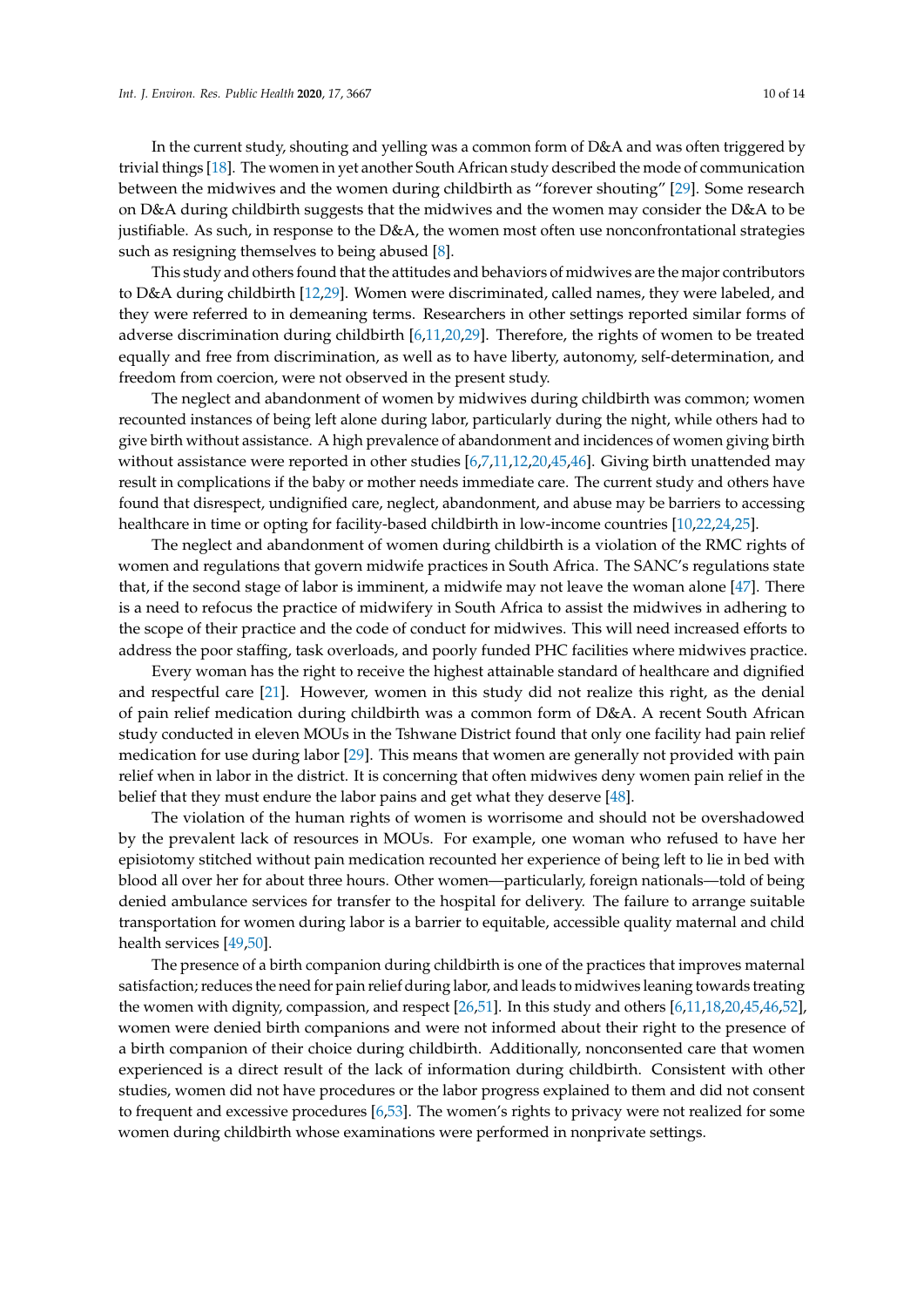In the current study, shouting and yelling was a common form of D&A and was often triggered by trivial things [\[18\]](#page-11-8). The women in yet another South African study described the mode of communication between the midwives and the women during childbirth as "forever shouting" [\[29\]](#page-12-0). Some research on D&A during childbirth suggests that the midwives and the women may consider the D&A to be justifiable. As such, in response to the D&A, the women most often use nonconfrontational strategies such as resigning themselves to being abused [\[8\]](#page-11-6).

This study and others found that the attitudes and behaviors of midwives are the major contributors to D&A during childbirth [\[12](#page-11-3)[,29\]](#page-12-0). Women were discriminated, called names, they were labeled, and they were referred to in demeaning terms. Researchers in other settings reported similar forms of adverse discrimination during childbirth [\[6](#page-10-4)[,11](#page-11-2)[,20](#page-11-17)[,29\]](#page-12-0). Therefore, the rights of women to be treated equally and free from discrimination, as well as to have liberty, autonomy, self-determination, and freedom from coercion, were not observed in the present study.

The neglect and abandonment of women by midwives during childbirth was common; women recounted instances of being left alone during labor, particularly during the night, while others had to give birth without assistance. A high prevalence of abandonment and incidences of women giving birth without assistance were reported in other studies [\[6](#page-10-4)[,7](#page-10-5)[,11](#page-11-2)[,12](#page-11-3)[,20](#page-11-17)[,45](#page-12-16)[,46\]](#page-12-17). Giving birth unattended may result in complications if the baby or mother needs immediate care. The current study and others have found that disrespect, undignified care, neglect, abandonment, and abuse may be barriers to accessing healthcare in time or opting for facility-based childbirth in low-income countries [\[10,](#page-11-1)[22,](#page-11-12)[24,](#page-11-18)[25\]](#page-11-13).

The neglect and abandonment of women during childbirth is a violation of the RMC rights of women and regulations that govern midwife practices in South Africa. The SANC's regulations state that, if the second stage of labor is imminent, a midwife may not leave the woman alone [\[47\]](#page-12-18). There is a need to refocus the practice of midwifery in South Africa to assist the midwives in adhering to the scope of their practice and the code of conduct for midwives. This will need increased efforts to address the poor staffing, task overloads, and poorly funded PHC facilities where midwives practice.

Every woman has the right to receive the highest attainable standard of healthcare and dignified and respectful care [\[21\]](#page-11-10). However, women in this study did not realize this right, as the denial of pain relief medication during childbirth was a common form of D&A. A recent South African study conducted in eleven MOUs in the Tshwane District found that only one facility had pain relief medication for use during labor [\[29\]](#page-12-0). This means that women are generally not provided with pain relief when in labor in the district. It is concerning that often midwives deny women pain relief in the belief that they must endure the labor pains and get what they deserve [\[48\]](#page-12-19).

The violation of the human rights of women is worrisome and should not be overshadowed by the prevalent lack of resources in MOUs. For example, one woman who refused to have her episiotomy stitched without pain medication recounted her experience of being left to lie in bed with blood all over her for about three hours. Other women—particularly, foreign nationals—told of being denied ambulance services for transfer to the hospital for delivery. The failure to arrange suitable transportation for women during labor is a barrier to equitable, accessible quality maternal and child health services [\[49,](#page-12-20)[50\]](#page-12-21).

The presence of a birth companion during childbirth is one of the practices that improves maternal satisfaction; reduces the need for pain relief during labor, and leads to midwives leaning towards treating the women with dignity, compassion, and respect [\[26,](#page-11-14)[51\]](#page-13-0). In this study and others [\[6](#page-10-4)[,11,](#page-11-2)[18,](#page-11-8)[20,](#page-11-17)[45](#page-12-16)[,46](#page-12-17)[,52\]](#page-13-1), women were denied birth companions and were not informed about their right to the presence of a birth companion of their choice during childbirth. Additionally, nonconsented care that women experienced is a direct result of the lack of information during childbirth. Consistent with other studies, women did not have procedures or the labor progress explained to them and did not consent to frequent and excessive procedures [\[6](#page-10-4)[,53\]](#page-13-2). The women's rights to privacy were not realized for some women during childbirth whose examinations were performed in nonprivate settings.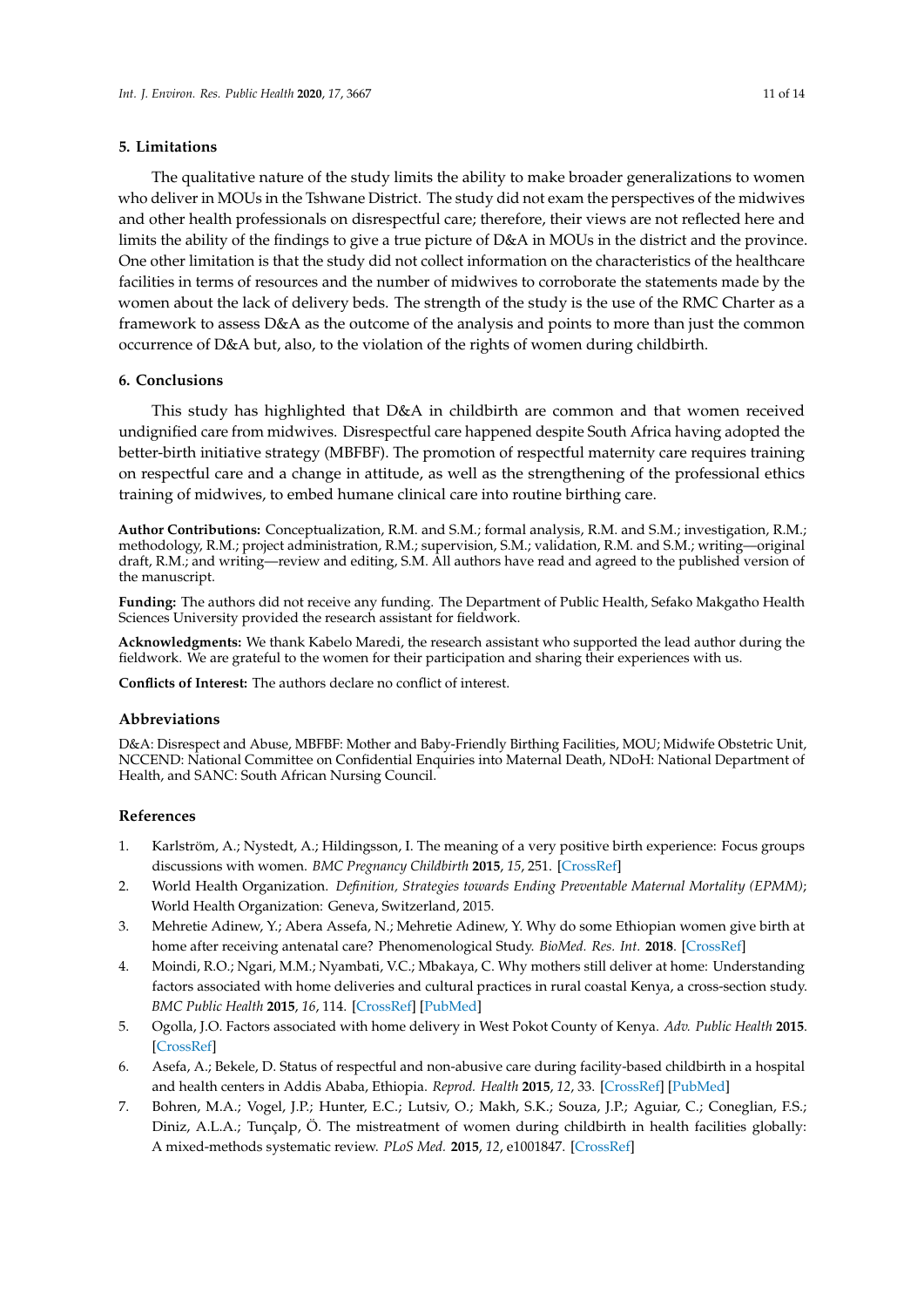# **5. Limitations**

The qualitative nature of the study limits the ability to make broader generalizations to women who deliver in MOUs in the Tshwane District. The study did not exam the perspectives of the midwives and other health professionals on disrespectful care; therefore, their views are not reflected here and limits the ability of the findings to give a true picture of D&A in MOUs in the district and the province. One other limitation is that the study did not collect information on the characteristics of the healthcare facilities in terms of resources and the number of midwives to corroborate the statements made by the women about the lack of delivery beds. The strength of the study is the use of the RMC Charter as a framework to assess D&A as the outcome of the analysis and points to more than just the common occurrence of D&A but, also, to the violation of the rights of women during childbirth.

## **6. Conclusions**

This study has highlighted that D&A in childbirth are common and that women received undignified care from midwives. Disrespectful care happened despite South Africa having adopted the better-birth initiative strategy (MBFBF). The promotion of respectful maternity care requires training on respectful care and a change in attitude, as well as the strengthening of the professional ethics training of midwives, to embed humane clinical care into routine birthing care.

**Author Contributions:** Conceptualization, R.M. and S.M.; formal analysis, R.M. and S.M.; investigation, R.M.; methodology, R.M.; project administration, R.M.; supervision, S.M.; validation, R.M. and S.M.; writing—original draft, R.M.; and writing—review and editing, S.M. All authors have read and agreed to the published version of the manuscript.

**Funding:** The authors did not receive any funding. The Department of Public Health, Sefako Makgatho Health Sciences University provided the research assistant for fieldwork.

**Acknowledgments:** We thank Kabelo Maredi, the research assistant who supported the lead author during the fieldwork. We are grateful to the women for their participation and sharing their experiences with us.

**Conflicts of Interest:** The authors declare no conflict of interest.

#### **Abbreviations**

D&A: Disrespect and Abuse, MBFBF: Mother and Baby-Friendly Birthing Facilities, MOU; Midwife Obstetric Unit, NCCEND: National Committee on Confidential Enquiries into Maternal Death, NDoH: National Department of Health, and SANC: South African Nursing Council.

#### **References**

- <span id="page-10-0"></span>1. Karlström, A.; Nystedt, A.; Hildingsson, I. The meaning of a very positive birth experience: Focus groups discussions with women. *BMC Pregnancy Childbirth* **2015**, *15*, 251. [\[CrossRef\]](http://dx.doi.org/10.1186/s12884-015-0683-0)
- <span id="page-10-1"></span>2. World Health Organization. *Definition, Strategies towards Ending Preventable Maternal Mortality (EPMM)*; World Health Organization: Geneva, Switzerland, 2015.
- <span id="page-10-2"></span>3. Mehretie Adinew, Y.; Abera Assefa, N.; Mehretie Adinew, Y. Why do some Ethiopian women give birth at home after receiving antenatal care? Phenomenological Study. *BioMed. Res. Int.* **2018**. [\[CrossRef\]](http://dx.doi.org/10.1155/2018/3249786)
- 4. Moindi, R.O.; Ngari, M.M.; Nyambati, V.C.; Mbakaya, C. Why mothers still deliver at home: Understanding factors associated with home deliveries and cultural practices in rural coastal Kenya, a cross-section study. *BMC Public Health* **2015**, *16*, 114. [\[CrossRef\]](http://dx.doi.org/10.1186/s12889-016-2780-z) [\[PubMed\]](http://www.ncbi.nlm.nih.gov/pubmed/26842657)
- <span id="page-10-3"></span>5. Ogolla, J.O. Factors associated with home delivery in West Pokot County of Kenya. *Adv. Public Health* **2015**. [\[CrossRef\]](http://dx.doi.org/10.1155/2015/493184)
- <span id="page-10-4"></span>6. Asefa, A.; Bekele, D. Status of respectful and non-abusive care during facility-based childbirth in a hospital and health centers in Addis Ababa, Ethiopia. *Reprod. Health* **2015**, *12*, 33. [\[CrossRef\]](http://dx.doi.org/10.1186/s12978-015-0024-9) [\[PubMed\]](http://www.ncbi.nlm.nih.gov/pubmed/25890317)
- <span id="page-10-5"></span>7. Bohren, M.A.; Vogel, J.P.; Hunter, E.C.; Lutsiv, O.; Makh, S.K.; Souza, J.P.; Aguiar, C.; Coneglian, F.S.; Diniz, A.L.A.; Tunçalp, Ö. The mistreatment of women during childbirth in health facilities globally: A mixed-methods systematic review. *PLoS Med.* **2015**, *12*, e1001847. [\[CrossRef\]](http://dx.doi.org/10.1371/journal.pmed.1001847)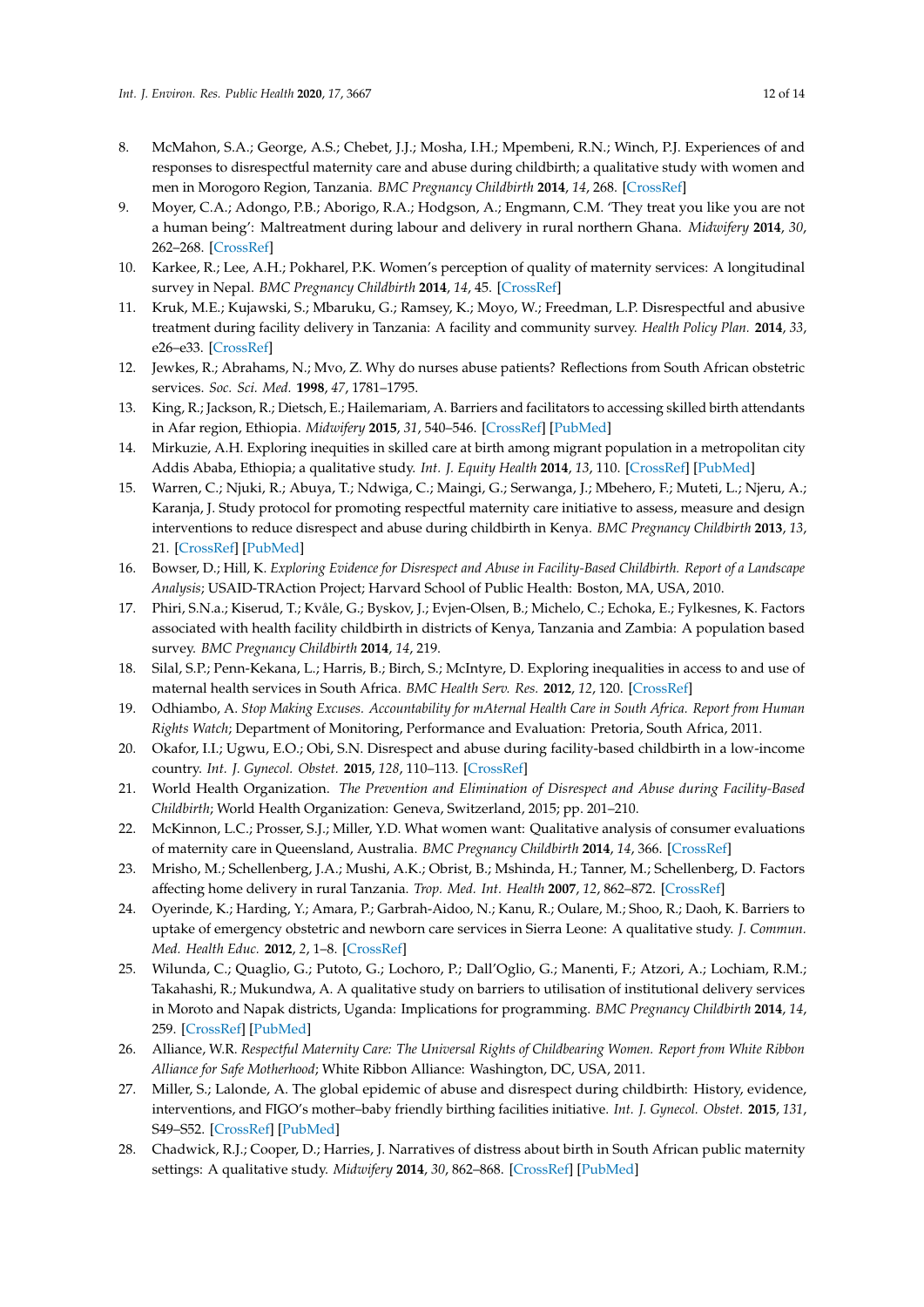- <span id="page-11-6"></span>8. McMahon, S.A.; George, A.S.; Chebet, J.J.; Mosha, I.H.; Mpembeni, R.N.; Winch, P.J. Experiences of and responses to disrespectful maternity care and abuse during childbirth; a qualitative study with women and men in Morogoro Region, Tanzania. *BMC Pregnancy Childbirth* **2014**, *14*, 268. [\[CrossRef\]](http://dx.doi.org/10.1186/1471-2393-14-268)
- <span id="page-11-0"></span>9. Moyer, C.A.; Adongo, P.B.; Aborigo, R.A.; Hodgson, A.; Engmann, C.M. 'They treat you like you are not a human being': Maltreatment during labour and delivery in rural northern Ghana. *Midwifery* **2014**, *30*, 262–268. [\[CrossRef\]](http://dx.doi.org/10.1016/j.midw.2013.05.006)
- <span id="page-11-1"></span>10. Karkee, R.; Lee, A.H.; Pokharel, P.K. Women's perception of quality of maternity services: A longitudinal survey in Nepal. *BMC Pregnancy Childbirth* **2014**, *14*, 45. [\[CrossRef\]](http://dx.doi.org/10.1186/1471-2393-14-45)
- <span id="page-11-2"></span>11. Kruk, M.E.; Kujawski, S.; Mbaruku, G.; Ramsey, K.; Moyo, W.; Freedman, L.P. Disrespectful and abusive treatment during facility delivery in Tanzania: A facility and community survey. *Health Policy Plan.* **2014**, *33*, e26–e33. [\[CrossRef\]](http://dx.doi.org/10.1093/heapol/czu079)
- <span id="page-11-3"></span>12. Jewkes, R.; Abrahams, N.; Mvo, Z. Why do nurses abuse patients? Reflections from South African obstetric services. *Soc. Sci. Med.* **1998**, *47*, 1781–1795.
- 13. King, R.; Jackson, R.; Dietsch, E.; Hailemariam, A. Barriers and facilitators to accessing skilled birth attendants in Afar region, Ethiopia. *Midwifery* **2015**, *31*, 540–546. [\[CrossRef\]](http://dx.doi.org/10.1016/j.midw.2015.02.004) [\[PubMed\]](http://www.ncbi.nlm.nih.gov/pubmed/25745841)
- <span id="page-11-4"></span>14. Mirkuzie, A.H. Exploring inequities in skilled care at birth among migrant population in a metropolitan city Addis Ababa, Ethiopia; a qualitative study. *Int. J. Equity Health* **2014**, *13*, 110. [\[CrossRef\]](http://dx.doi.org/10.1186/s12939-014-0110-6) [\[PubMed\]](http://www.ncbi.nlm.nih.gov/pubmed/25421142)
- <span id="page-11-5"></span>15. Warren, C.; Njuki, R.; Abuya, T.; Ndwiga, C.; Maingi, G.; Serwanga, J.; Mbehero, F.; Muteti, L.; Njeru, A.; Karanja, J. Study protocol for promoting respectful maternity care initiative to assess, measure and design interventions to reduce disrespect and abuse during childbirth in Kenya. *BMC Pregnancy Childbirth* **2013**, *13*, 21. [\[CrossRef\]](http://dx.doi.org/10.1186/1471-2393-13-21) [\[PubMed\]](http://www.ncbi.nlm.nih.gov/pubmed/23347548)
- <span id="page-11-7"></span>16. Bowser, D.; Hill, K. *Exploring Evidence for Disrespect and Abuse in Facility-Based Childbirth. Report of a Landscape Analysis*; USAID-TRAction Project; Harvard School of Public Health: Boston, MA, USA, 2010.
- <span id="page-11-11"></span>17. Phiri, S.N.a.; Kiserud, T.; Kvåle, G.; Byskov, J.; Evjen-Olsen, B.; Michelo, C.; Echoka, E.; Fylkesnes, K. Factors associated with health facility childbirth in districts of Kenya, Tanzania and Zambia: A population based survey. *BMC Pregnancy Childbirth* **2014**, *14*, 219.
- <span id="page-11-8"></span>18. Silal, S.P.; Penn-Kekana, L.; Harris, B.; Birch, S.; McIntyre, D. Exploring inequalities in access to and use of maternal health services in South Africa. *BMC Health Serv. Res.* **2012**, *12*, 120. [\[CrossRef\]](http://dx.doi.org/10.1186/1472-6963-12-120)
- <span id="page-11-9"></span>19. Odhiambo, A. *Stop Making Excuses. Accountability for mAternal Health Care in South Africa. Report from Human Rights Watch*; Department of Monitoring, Performance and Evaluation: Pretoria, South Africa, 2011.
- <span id="page-11-17"></span>20. Okafor, I.I.; Ugwu, E.O.; Obi, S.N. Disrespect and abuse during facility-based childbirth in a low-income country. *Int. J. Gynecol. Obstet.* **2015**, *128*, 110–113. [\[CrossRef\]](http://dx.doi.org/10.1016/j.ijgo.2014.08.015)
- <span id="page-11-10"></span>21. World Health Organization. *The Prevention and Elimination of Disrespect and Abuse during Facility-Based Childbirth*; World Health Organization: Geneva, Switzerland, 2015; pp. 201–210.
- <span id="page-11-12"></span>22. McKinnon, L.C.; Prosser, S.J.; Miller, Y.D. What women want: Qualitative analysis of consumer evaluations of maternity care in Queensland, Australia. *BMC Pregnancy Childbirth* **2014**, *14*, 366. [\[CrossRef\]](http://dx.doi.org/10.1186/s12884-014-0366-2)
- 23. Mrisho, M.; Schellenberg, J.A.; Mushi, A.K.; Obrist, B.; Mshinda, H.; Tanner, M.; Schellenberg, D. Factors affecting home delivery in rural Tanzania. *Trop. Med. Int. Health* **2007**, *12*, 862–872. [\[CrossRef\]](http://dx.doi.org/10.1111/j.1365-3156.2007.01855.x)
- <span id="page-11-18"></span>24. Oyerinde, K.; Harding, Y.; Amara, P.; Garbrah-Aidoo, N.; Kanu, R.; Oulare, M.; Shoo, R.; Daoh, K. Barriers to uptake of emergency obstetric and newborn care services in Sierra Leone: A qualitative study. *J. Commun. Med. Health Educ.* **2012**, *2*, 1–8. [\[CrossRef\]](http://dx.doi.org/10.4172/2161-0711.1000149)
- <span id="page-11-13"></span>25. Wilunda, C.; Quaglio, G.; Putoto, G.; Lochoro, P.; Dall'Oglio, G.; Manenti, F.; Atzori, A.; Lochiam, R.M.; Takahashi, R.; Mukundwa, A. A qualitative study on barriers to utilisation of institutional delivery services in Moroto and Napak districts, Uganda: Implications for programming. *BMC Pregnancy Childbirth* **2014**, *14*, 259. [\[CrossRef\]](http://dx.doi.org/10.1186/1471-2393-14-259) [\[PubMed\]](http://www.ncbi.nlm.nih.gov/pubmed/25091866)
- <span id="page-11-14"></span>26. Alliance, W.R. *Respectful Maternity Care: The Universal Rights of Childbearing Women. Report from White Ribbon Alliance for Safe Motherhood*; White Ribbon Alliance: Washington, DC, USA, 2011.
- <span id="page-11-15"></span>27. Miller, S.; Lalonde, A. The global epidemic of abuse and disrespect during childbirth: History, evidence, interventions, and FIGO's mother–baby friendly birthing facilities initiative. *Int. J. Gynecol. Obstet.* **2015**, *131*, S49–S52. [\[CrossRef\]](http://dx.doi.org/10.1016/j.ijgo.2015.02.005) [\[PubMed\]](http://www.ncbi.nlm.nih.gov/pubmed/26433506)
- <span id="page-11-16"></span>28. Chadwick, R.J.; Cooper, D.; Harries, J. Narratives of distress about birth in South African public maternity settings: A qualitative study. *Midwifery* **2014**, *30*, 862–868. [\[CrossRef\]](http://dx.doi.org/10.1016/j.midw.2013.12.014) [\[PubMed\]](http://www.ncbi.nlm.nih.gov/pubmed/24456659)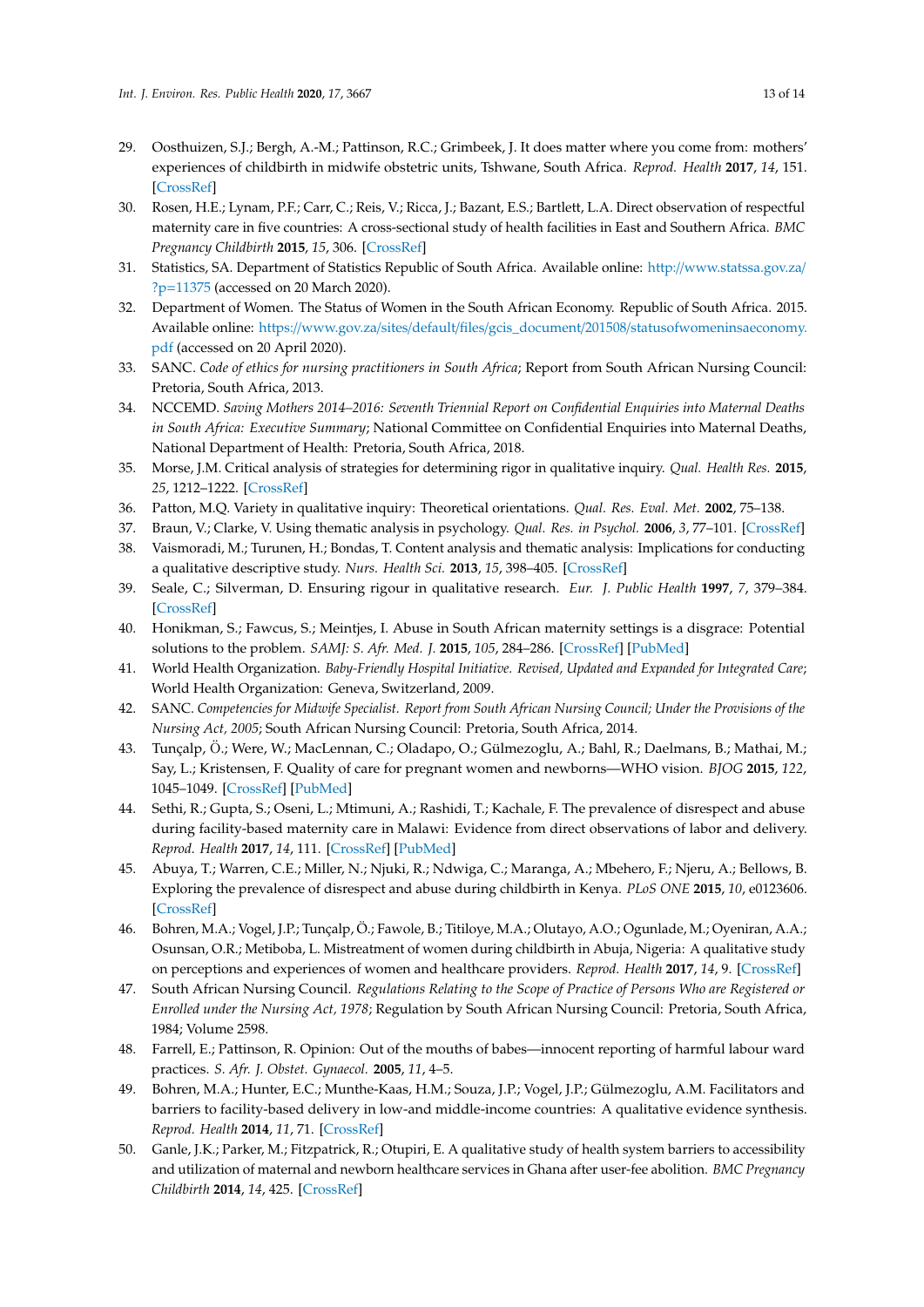- <span id="page-12-0"></span>29. Oosthuizen, S.J.; Bergh, A.-M.; Pattinson, R.C.; Grimbeek, J. It does matter where you come from: mothers' experiences of childbirth in midwife obstetric units, Tshwane, South Africa. *Reprod. Health* **2017**, *14*, 151. [\[CrossRef\]](http://dx.doi.org/10.1186/s12978-017-0411-5)
- <span id="page-12-1"></span>30. Rosen, H.E.; Lynam, P.F.; Carr, C.; Reis, V.; Ricca, J.; Bazant, E.S.; Bartlett, L.A. Direct observation of respectful maternity care in five countries: A cross-sectional study of health facilities in East and Southern Africa. *BMC Pregnancy Childbirth* **2015**, *15*, 306. [\[CrossRef\]](http://dx.doi.org/10.1186/s12884-015-0728-4)
- <span id="page-12-2"></span>31. Statistics, SA. Department of Statistics Republic of South Africa. Available online: http://[www.statssa.gov.za](http://www.statssa.gov.za/?p=11375)/ ?p=[11375](http://www.statssa.gov.za/?p=11375) (accessed on 20 March 2020).
- <span id="page-12-3"></span>32. Department of Women. The Status of Women in the South African Economy. Republic of South Africa. 2015. Available online: https://www.gov.za/sites/default/files/gcis\_document/201508/[statusofwomeninsaeconomy.](https://www.gov.za/sites/default/files/gcis_document/201508/statusofwomeninsaeconomy.pdf) [pdf](https://www.gov.za/sites/default/files/gcis_document/201508/statusofwomeninsaeconomy.pdf) (accessed on 20 April 2020).
- <span id="page-12-4"></span>33. SANC. *Code of ethics for nursing practitioners in South Africa*; Report from South African Nursing Council: Pretoria, South Africa, 2013.
- <span id="page-12-5"></span>34. NCCEMD. *Saving Mothers 2014–2016: Seventh Triennial Report on Confidential Enquiries into Maternal Deaths in South Africa: Executive Summary*; National Committee on Confidential Enquiries into Maternal Deaths, National Department of Health: Pretoria, South Africa, 2018.
- <span id="page-12-6"></span>35. Morse, J.M. Critical analysis of strategies for determining rigor in qualitative inquiry. *Qual. Health Res.* **2015**, *25*, 1212–1222. [\[CrossRef\]](http://dx.doi.org/10.1177/1049732315588501)
- <span id="page-12-7"></span>36. Patton, M.Q. Variety in qualitative inquiry: Theoretical orientations. *Qual. Res. Eval. Met.* **2002**, 75–138.
- <span id="page-12-8"></span>37. Braun, V.; Clarke, V. Using thematic analysis in psychology. *Qual. Res. in Psychol.* **2006**, *3*, 77–101. [\[CrossRef\]](http://dx.doi.org/10.1191/1478088706qp063oa)
- <span id="page-12-9"></span>38. Vaismoradi, M.; Turunen, H.; Bondas, T. Content analysis and thematic analysis: Implications for conducting a qualitative descriptive study. *Nurs. Health Sci.* **2013**, *15*, 398–405. [\[CrossRef\]](http://dx.doi.org/10.1111/nhs.12048)
- <span id="page-12-10"></span>39. Seale, C.; Silverman, D. Ensuring rigour in qualitative research. *Eur. J. Public Health* **1997**, *7*, 379–384. [\[CrossRef\]](http://dx.doi.org/10.1093/eurpub/7.4.379)
- <span id="page-12-11"></span>40. Honikman, S.; Fawcus, S.; Meintjes, I. Abuse in South African maternity settings is a disgrace: Potential solutions to the problem. *SAMJ: S. Afr. Med. J.* **2015**, *105*, 284–286. [\[CrossRef\]](http://dx.doi.org/10.7196/SAMJ.9582) [\[PubMed\]](http://www.ncbi.nlm.nih.gov/pubmed/26294871)
- <span id="page-12-12"></span>41. World Health Organization. *Baby-Friendly Hospital Initiative. Revised, Updated and Expanded for Integrated Care*; World Health Organization: Geneva, Switzerland, 2009.
- <span id="page-12-13"></span>42. SANC. *Competencies for Midwife Specialist. Report from South African Nursing Council; Under the Provisions of the Nursing Act, 2005*; South African Nursing Council: Pretoria, South Africa, 2014.
- <span id="page-12-14"></span>43. Tunçalp, Ö.; Were, W.; MacLennan, C.; Oladapo, O.; Gülmezoglu, A.; Bahl, R.; Daelmans, B.; Mathai, M.; Say, L.; Kristensen, F. Quality of care for pregnant women and newborns—WHO vision. *BJOG* **2015**, *122*, 1045–1049. [\[CrossRef\]](http://dx.doi.org/10.1111/1471-0528.13451) [\[PubMed\]](http://www.ncbi.nlm.nih.gov/pubmed/25929823)
- <span id="page-12-15"></span>44. Sethi, R.; Gupta, S.; Oseni, L.; Mtimuni, A.; Rashidi, T.; Kachale, F. The prevalence of disrespect and abuse during facility-based maternity care in Malawi: Evidence from direct observations of labor and delivery. *Reprod. Health* **2017**, *14*, 111. [\[CrossRef\]](http://dx.doi.org/10.1186/s12978-017-0370-x) [\[PubMed\]](http://www.ncbi.nlm.nih.gov/pubmed/28877701)
- <span id="page-12-16"></span>45. Abuya, T.; Warren, C.E.; Miller, N.; Njuki, R.; Ndwiga, C.; Maranga, A.; Mbehero, F.; Njeru, A.; Bellows, B. Exploring the prevalence of disrespect and abuse during childbirth in Kenya. *PLoS ONE* **2015**, *10*, e0123606. [\[CrossRef\]](http://dx.doi.org/10.1371/journal.pone.0123606)
- <span id="page-12-17"></span>46. Bohren, M.A.; Vogel, J.P.; Tunçalp, Ö.; Fawole, B.; Titiloye, M.A.; Olutayo, A.O.; Ogunlade, M.; Oyeniran, A.A.; Osunsan, O.R.; Metiboba, L. Mistreatment of women during childbirth in Abuja, Nigeria: A qualitative study on perceptions and experiences of women and healthcare providers. *Reprod. Health* **2017**, *14*, 9. [\[CrossRef\]](http://dx.doi.org/10.1186/s12978-016-0265-2)
- <span id="page-12-18"></span>47. South African Nursing Council. *Regulations Relating to the Scope of Practice of Persons Who are Registered or Enrolled under the Nursing Act, 1978*; Regulation by South African Nursing Council: Pretoria, South Africa, 1984; Volume 2598.
- <span id="page-12-19"></span>48. Farrell, E.; Pattinson, R. Opinion: Out of the mouths of babes—innocent reporting of harmful labour ward practices. *S. Afr. J. Obstet. Gynaecol.* **2005**, *11*, 4–5.
- <span id="page-12-20"></span>49. Bohren, M.A.; Hunter, E.C.; Munthe-Kaas, H.M.; Souza, J.P.; Vogel, J.P.; Gülmezoglu, A.M. Facilitators and barriers to facility-based delivery in low-and middle-income countries: A qualitative evidence synthesis. *Reprod. Health* **2014**, *11*, 71. [\[CrossRef\]](http://dx.doi.org/10.1186/1742-4755-11-71)
- <span id="page-12-21"></span>50. Ganle, J.K.; Parker, M.; Fitzpatrick, R.; Otupiri, E. A qualitative study of health system barriers to accessibility and utilization of maternal and newborn healthcare services in Ghana after user-fee abolition. *BMC Pregnancy Childbirth* **2014**, *14*, 425. [\[CrossRef\]](http://dx.doi.org/10.1186/s12884-014-0425-8)